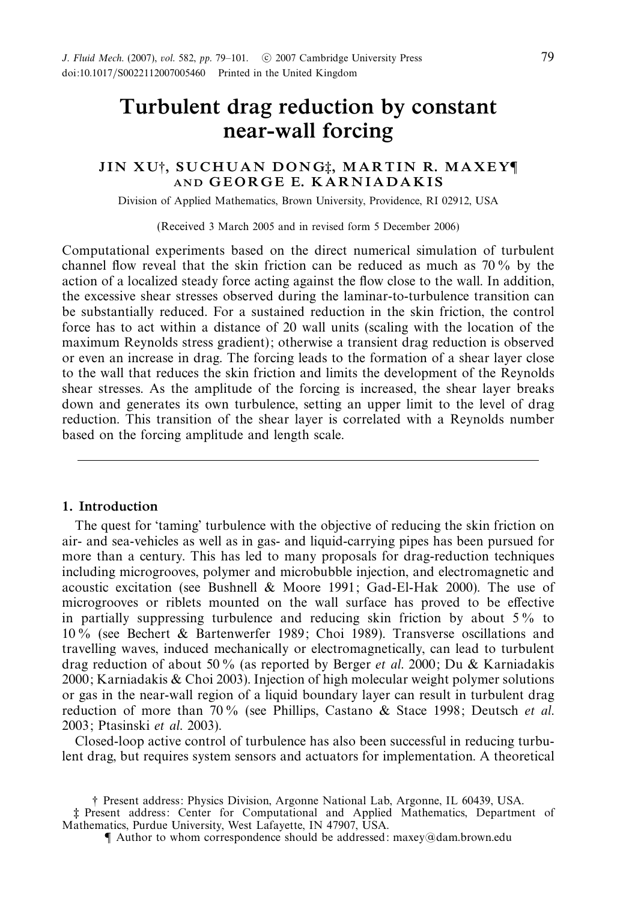# *Turbulent drag reduction by constant near-wall forcing*

## *JIN XU*†*, SUCHUAN DONG*‡*, M A R T I N R. M A X E Y*¶ *AND G E O R G E E. K A R N I A D A K I S*

Division of Applied Mathematics, Brown University, Providence, RI 02912, USA

(Received 3 March 2005 and in revised form 5 December 2006)

Computational experiments based on the direct numerical simulation of turbulent channel flow reveal that the skin friction can be reduced as much as 70 % by the action of a localized steady force acting against the flow close to the wall. In addition, the excessive shear stresses observed during the laminar-to-turbulence transition can be substantially reduced. For a sustained reduction in the skin friction, the control force has to act within a distance of 20 wall units (scaling with the location of the maximum Reynolds stress gradient); otherwise a transient drag reduction is observed or even an increase in drag. The forcing leads to the formation of a shear layer close to the wall that reduces the skin friction and limits the development of the Reynolds shear stresses. As the amplitude of the forcing is increased, the shear layer breaks down and generates its own turbulence, setting an upper limit to the level of drag reduction. This transition of the shear layer is correlated with a Reynolds number based on the forcing amplitude and length scale.

## *1. Introduction*

The quest for 'taming' turbulence with the objective of reducing the skin friction on air- and sea-vehicles as well as in gas- and liquid-carrying pipes has been pursued for more than a century. This has led to many proposals for drag-reduction techniques including microgrooves, polymer and microbubble injection, and electromagnetic and acoustic excitation (see Bushnell & Moore 1991; Gad-El-Hak 2000). The use of microgrooves or riblets mounted on the wall surface has proved to be effective in partially suppressing turbulence and reducing skin friction by about 5% to 10 % (see Bechert & Bartenwerfer 1989; Choi 1989). Transverse oscillations and travelling waves, induced mechanically or electromagnetically, can lead to turbulent drag reduction of about 50% (as reported by Berger *et al.* 2000; Du & Karniadakis 2000; Karniadakis & Choi 2003). Injection of high molecular weight polymer solutions or gas in the near-wall region of a liquid boundary layer can result in turbulent drag reduction of more than  $70\%$  (see Phillips, Castano & Stace 1998; Deutsch *et al.* 2003; Ptasinski et al. 2003).

Closed-loop active control of turbulence has also been successful in reducing turbulent drag, but requires system sensors and actuators for implementation. A theoretical

<sup>†</sup> Present address: Physics Division, Argonne National Lab, Argonne, IL 60439, USA.

<sup>‡</sup> Present address: Center for Computational and Applied Mathematics, Department of Mathematics, Purdue University, West Lafayette, IN 47907, USA.

<sup>¶</sup> Author to whom correspondence should be addressed: maxey@dam.brown.edu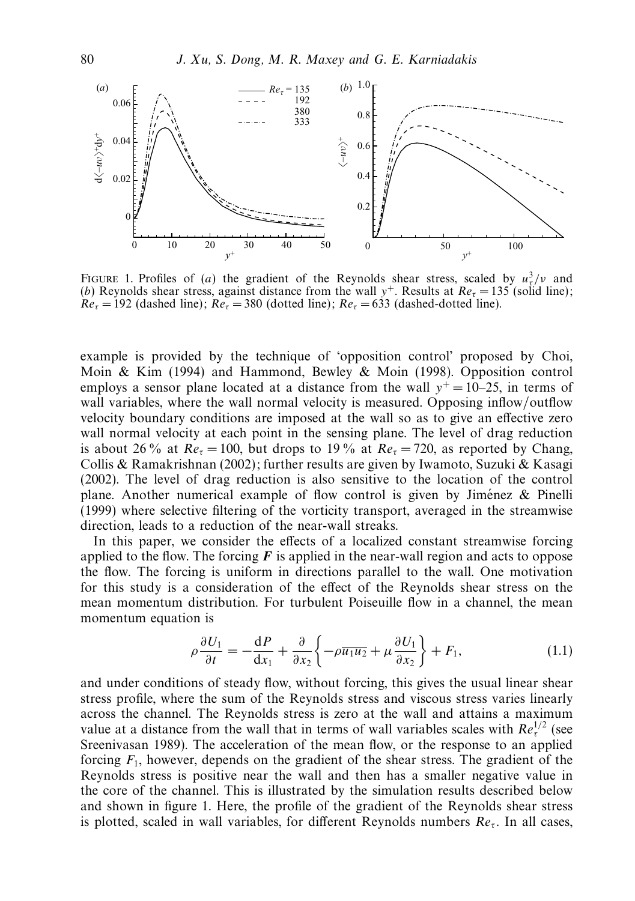

FIGURE 1. Profiles of (*a*) the gradient of the Reynolds shear stress, scaled by  $u^3$ /*v* and (*b*) Reynolds shear stress, against distance from the wall  $y^+$ . Results at  $Re_\tau = 135$  (solid line);  $Re_\tau = 192$  (dashed line);  $Re_\tau = 380$  (dotted line);  $Re_\tau = 633$  (dashed-dotted line).

example is provided by the technique of 'opposition control' proposed by Choi, Moin & Kim (1994) and Hammond, Bewley & Moin (1998). Opposition control employs a sensor plane located at a distance from the wall  $y^+=10-25$ , in terms of wall variables, where the wall normal velocity is measured. Opposing inflow/outflow velocity boundary conditions are imposed at the wall so as to give an effective zero wall normal velocity at each point in the sensing plane. The level of drag reduction is about 26 % at  $Re_\tau = 100$ , but drops to 19 % at  $Re_\tau = 720$ , as reported by Chang, Collis & Ramakrishnan (2002); further results are given by Iwamoto, Suzuki & Kasagi (2002). The level of drag reduction is also sensitive to the location of the control plane. Another numerical example of flow control is given by Jiménez  $\&$  Pinelli (1999) where selective filtering of the vorticity transport, averaged in the streamwise direction, leads to a reduction of the near-wall streaks.

In this paper, we consider the effects of a localized constant streamwise forcing applied to the flow. The forcing  $\vec{F}$  is applied in the near-wall region and acts to oppose the flow. The forcing is uniform in directions parallel to the wall. One motivation for this study is a consideration of the effect of the Reynolds shear stress on the mean momentum distribution. For turbulent Poiseuille flow in a channel, the mean momentum equation is

$$
\rho \frac{\partial U_1}{\partial t} = -\frac{\mathrm{d}P}{\mathrm{d}x_1} + \frac{\partial}{\partial x_2} \left\{ -\rho \overline{u_1 u_2} + \mu \frac{\partial U_1}{\partial x_2} \right\} + F_1,\tag{1.1}
$$

and under conditions of steady flow, without forcing, this gives the usual linear shear stress profile, where the sum of the Reynolds stress and viscous stress varies linearly across the channel. The Reynolds stress is zero at the wall and attains a maximum value at a distance from the wall that in terms of wall variables scales with  $Re<sub>\tau</sub><sup>1/2</sup>$  (see Sreenivasan 1989). The acceleration of the mean flow, or the response to an applied forcing *F*1, however, depends on the gradient of the shear stress. The gradient of the Reynolds stress is positive near the wall and then has a smaller negative value in the core of the channel. This is illustrated by the simulation results described below and shown in figure 1. Here, the profile of the gradient of the Reynolds shear stress is plotted, scaled in wall variables, for different Reynolds numbers  $Re<sub>τ</sub>$ . In all cases,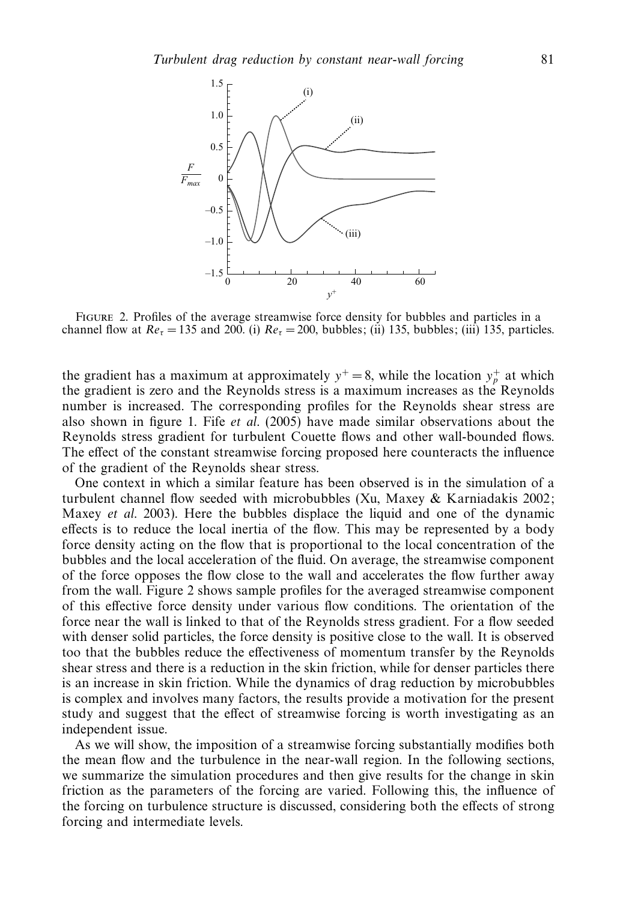

Figure 2. Profiles of the average streamwise force density for bubbles and particles in a channel flow at  $Re_\tau = 135$  and 200. (i)  $Re_\tau = 200$ , bubbles; (ii) 135, bubbles; (iii) 135, particles.

the gradient has a maximum at approximately  $y^+=8$ , while the location  $y^+_p$  at which the gradient is zero and the Reynolds stress is a maximum increases as the Reynolds number is increased. The corresponding profiles for the Reynolds shear stress are also shown in figure 1. Fife et al. (2005) have made similar observations about the Reynolds stress gradient for turbulent Couette flows and other wall-bounded flows. The effect of the constant streamwise forcing proposed here counteracts the influence of the gradient of the Reynolds shear stress.

One context in which a similar feature has been observed is in the simulation of a turbulent channel flow seeded with microbubbles (Xu, Maxey & Karniadakis 2002; Maxey et al. 2003). Here the bubbles displace the liquid and one of the dynamic effects is to reduce the local inertia of the flow. This may be represented by a body force density acting on the flow that is proportional to the local concentration of the bubbles and the local acceleration of the fluid. On average, the streamwise component of the force opposes the flow close to the wall and accelerates the flow further away from the wall. Figure 2 shows sample profiles for the averaged streamwise component of this effective force density under various flow conditions. The orientation of the force near the wall is linked to that of the Reynolds stress gradient. For a flow seeded with denser solid particles, the force density is positive close to the wall. It is observed too that the bubbles reduce the effectiveness of momentum transfer by the Reynolds shear stress and there is a reduction in the skin friction, while for denser particles there is an increase in skin friction. While the dynamics of drag reduction by microbubbles is complex and involves many factors, the results provide a motivation for the present study and suggest that the effect of streamwise forcing is worth investigating as an independent issue.

As we will show, the imposition of a streamwise forcing substantially modifies both the mean flow and the turbulence in the near-wall region. In the following sections, we summarize the simulation procedures and then give results for the change in skin friction as the parameters of the forcing are varied. Following this, the influence of the forcing on turbulence structure is discussed, considering both the effects of strong forcing and intermediate levels.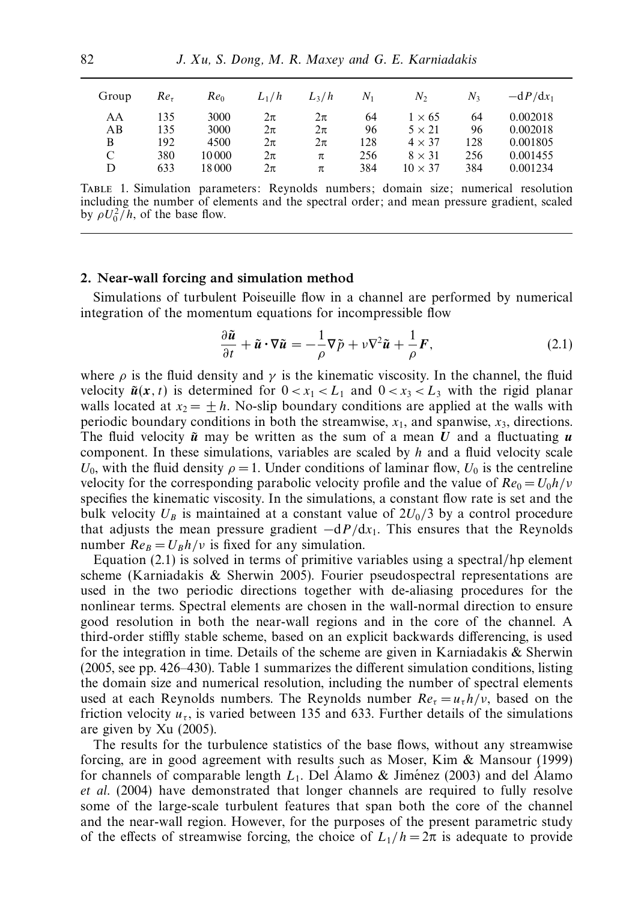| Group | Re <sub>z</sub> | $Re_0$ | $L_1/h$ | $L_3/h$ | $N_1$ | N2             | N <sub>3</sub> | $-dP/dx_1$ |
|-------|-----------------|--------|---------|---------|-------|----------------|----------------|------------|
| AA    | 135             | 3000   | 2π      | 2π      | 64    | $1 \times 65$  | 64             | 0.002018   |
| AB    | 135             | 3000   | $2\pi$  | $2\pi$  | 96    | $5 \times 21$  | 96             | 0.002018   |
| B     | 192             | 4500   | 2π      | 2π      | 128   | $4 \times 37$  | 128            | 0.001805   |
| C     | 380             | 10 000 | $2\pi$  | π       | 256   | $8 \times 31$  | 256            | 0.001455   |
| D     | 633             | 18 000 | 2π      | π       | 384   | $10 \times 37$ | 384            | 0.001234   |

Table 1. Simulation parameters: Reynolds numbers; domain size; numerical resolution including the number of elements and the spectral order; and mean pressure gradient, scaled by  $\rho U_0^2/h$ , of the base flow.

#### *2. Near-wall forcing and simulation method*

Simulations of turbulent Poiseuille flow in a channel are performed by numerical integration of the momentum equations for incompressible flow

$$
\frac{\partial \tilde{\mathbf{u}}}{\partial t} + \tilde{\mathbf{u}} \cdot \nabla \tilde{\mathbf{u}} = -\frac{1}{\rho} \nabla \tilde{p} + \nu \nabla^2 \tilde{\mathbf{u}} + \frac{1}{\rho} \mathbf{F},
$$
\n(2.1)

where  $\rho$  is the fluid density and  $\gamma$  is the kinematic viscosity. In the channel, the fluid velocity  $\tilde{u}(x, t)$  is determined for  $0 < x_1 < L_1$  and  $0 < x_3 < L_3$  with the rigid planar walls located at  $x_2 = \pm h$ . No-slip boundary conditions are applied at the walls with periodic boundary conditions in both the streamwise,  $x_1$ , and spanwise,  $x_3$ , directions. The fluid velocity  $\tilde{u}$  may be written as the sum of a mean *U* and a fluctuating  $u$ component. In these simulations, variables are scaled by *h* and a fluid velocity scale *U*<sub>0</sub>, with the fluid density  $\rho = 1$ . Under conditions of laminar flow, *U*<sub>0</sub> is the centreline velocity for the corresponding parabolic velocity profile and the value of  $Re_0 = U_0 h/v$ specifies the kinematic viscosity. In the simulations, a constant flow rate is set and the bulk velocity  $U_B$  is maintained at a constant value of  $2U_0/3$  by a control procedure that adjusts the mean pressure gradient  $-dP/dx_1$ . This ensures that the Reynolds number  $Re_B = U_B h/v$  is fixed for any simulation.

Equation (2.1) is solved in terms of primitive variables using a spectral/hp element scheme (Karniadakis & Sherwin 2005). Fourier pseudospectral representations are used in the two periodic directions together with de-aliasing procedures for the nonlinear terms. Spectral elements are chosen in the wall-normal direction to ensure good resolution in both the near-wall regions and in the core of the channel. A third-order stiffly stable scheme, based on an explicit backwards differencing, is used for the integration in time. Details of the scheme are given in Karniadakis  $\&$  Sherwin (2005, see pp. 426–430). Table 1 summarizes the different simulation conditions, listing the domain size and numerical resolution, including the number of spectral elements used at each Reynolds numbers. The Reynolds number  $Re<sub>\tau</sub> = u<sub>\tau</sub> h/v$ , based on the friction velocity  $u_{\tau}$ , is varied between 135 and 633. Further details of the simulations are given by Xu (2005).

The results for the turbulence statistics of the base flows, without any streamwise forcing, are in good agreement with results such as Moser, Kim & Mansour (1999) for channels of comparable length  $L_1$ . Del Alamo & Jiménez (2003) and del Alamo et al. (2004) have demonstrated that longer channels are required to fully resolve some of the large-scale turbulent features that span both the core of the channel and the near-wall region. However, for the purposes of the present parametric study of the effects of streamwise forcing, the choice of  $L_1/h = 2\pi$  is adequate to provide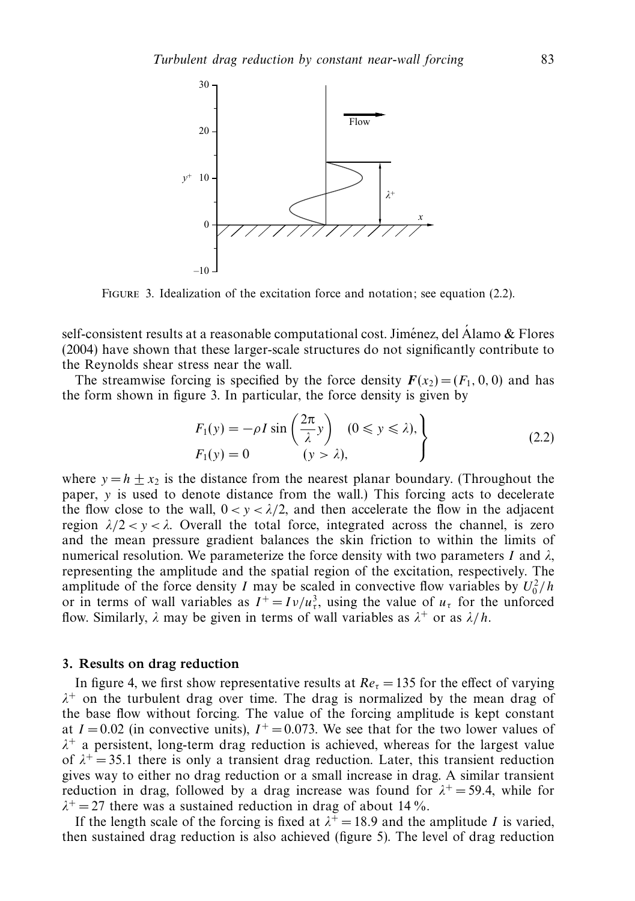

Figure 3. Idealization of the excitation force and notation; see equation (2.2).

self-consistent results at a reasonable computational cost. Jiménez, del Álamo & Flores (2004) have shown that these larger-scale structures do not significantly contribute to the Reynolds shear stress near the wall.

The streamwise forcing is specified by the force density  $F(x_2)=(F_1, 0, 0)$  and has the form shown in figure 3. In particular, the force density is given by

$$
F_1(y) = -\rho I \sin\left(\frac{2\pi}{\lambda}y\right) \quad (0 \le y \le \lambda),
$$
  
\n
$$
F_1(y) = 0 \qquad (y > \lambda),
$$
\n(2.2)

where  $y = h + x_2$  is the distance from the nearest planar boundary. (Throughout the paper, *y* is used to denote distance from the wall.) This forcing acts to decelerate the flow close to the wall,  $0 < y < \lambda/2$ , and then accelerate the flow in the adjacent region  $\lambda/2 < y < \lambda$ . Overall the total force, integrated across the channel, is zero and the mean pressure gradient balances the skin friction to within the limits of numerical resolution. We parameterize the force density with two parameters *I* and *λ*, representing the amplitude and the spatial region of the excitation, respectively. The amplitude of the force density *I* may be scaled in convective flow variables by  $U_0^2/h$ or in terms of wall variables as  $I^+ = I \nu / u_\tau^3$ , using the value of  $u_\tau$  for the unforced flow. Similarly,  $\lambda$  may be given in terms of wall variables as  $\lambda^+$  or as  $\lambda/h$ .

## *3. Results on drag reduction*

In figure 4, we first show representative results at  $Re<sub>\tau</sub> = 135$  for the effect of varying  $\lambda^+$  on the turbulent drag over time. The drag is normalized by the mean drag of the base flow without forcing. The value of the forcing amplitude is kept constant at  $I = 0.02$  (in convective units),  $I^+ = 0.073$ . We see that for the two lower values of  $\lambda^+$  a persistent, long-term drag reduction is achieved, whereas for the largest value of  $\lambda^+$  = 35.1 there is only a transient drag reduction. Later, this transient reduction gives way to either no drag reduction or a small increase in drag. A similar transient reduction in drag, followed by a drag increase was found for  $\lambda^+ = 59.4$ , while for  $\lambda^+$  = 27 there was a sustained reduction in drag of about 14 %.

If the length scale of the forcing is fixed at  $\lambda^+ = 18.9$  and the amplitude *I* is varied, then sustained drag reduction is also achieved (figure 5). The level of drag reduction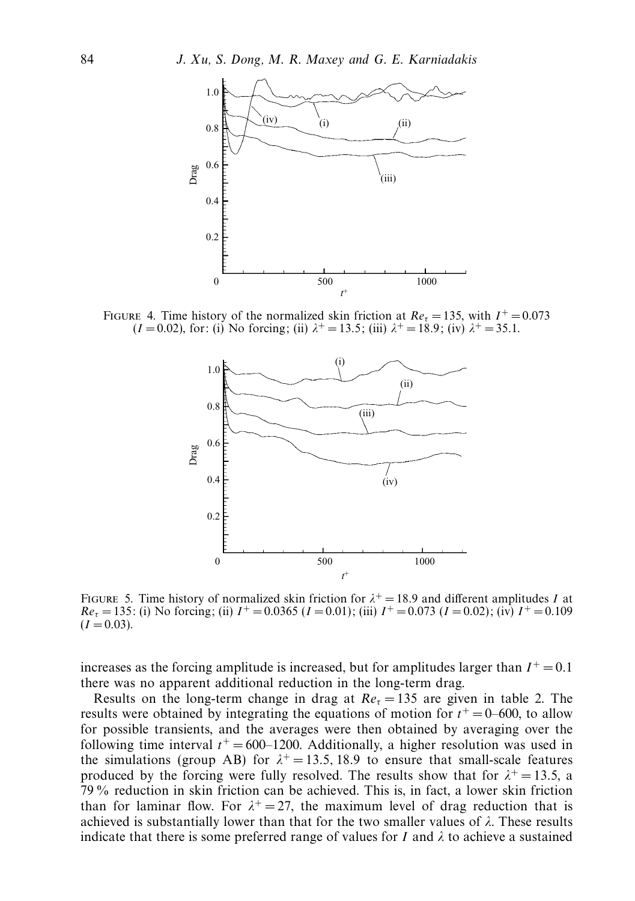

FIGURE 4. Time history of the normalized skin friction at  $Re<sub>\tau</sub> = 135$ , with  $I<sup>+</sup> = 0.073$  $(I = 0.02)$ , for: (i) No forcing; (ii)  $\lambda^+ = 13.5$ ; (iii)  $\lambda^+ = 18.9$ ; (iv)  $\lambda^+ = 35.1$ .



FIGURE 5. Time history of normalized skin friction for  $\lambda^+ = 18.9$  and different amplitudes *I* at  $Re_\tau = 135$ : (i) No forcing; (ii)  $I^+ = 0.0365$  ( $I = 0.01$ ); (iii)  $I^+ = 0.073$  ( $I = 0.02$ ); (iv)  $I^+ = 0.109$  $(I = 0.03)$ .

increases as the forcing amplitude is increased, but for amplitudes larger than  $I^+ = 0.1$ there was no apparent additional reduction in the long-term drag.

Results on the long-term change in drag at  $Re<sub>\tau</sub> = 135$  are given in table 2. The results were obtained by integrating the equations of motion for  $t^+=0-600$ , to allow for possible transients, and the averages were then obtained by averaging over the following time interval  $t^+=600-1200$ . Additionally, a higher resolution was used in the simulations (group AB) for  $\lambda^+ = 13.5$ , 18.9 to ensure that small-scale features produced by the forcing were fully resolved. The results show that for  $\lambda^+ = 13.5$ , a 79 % reduction in skin friction can be achieved. This is, in fact, a lower skin friction than for laminar flow. For  $\lambda^+ = 27$ , the maximum level of drag reduction that is achieved is substantially lower than that for the two smaller values of *λ*. These results indicate that there is some preferred range of values for *I* and  $\lambda$  to achieve a sustained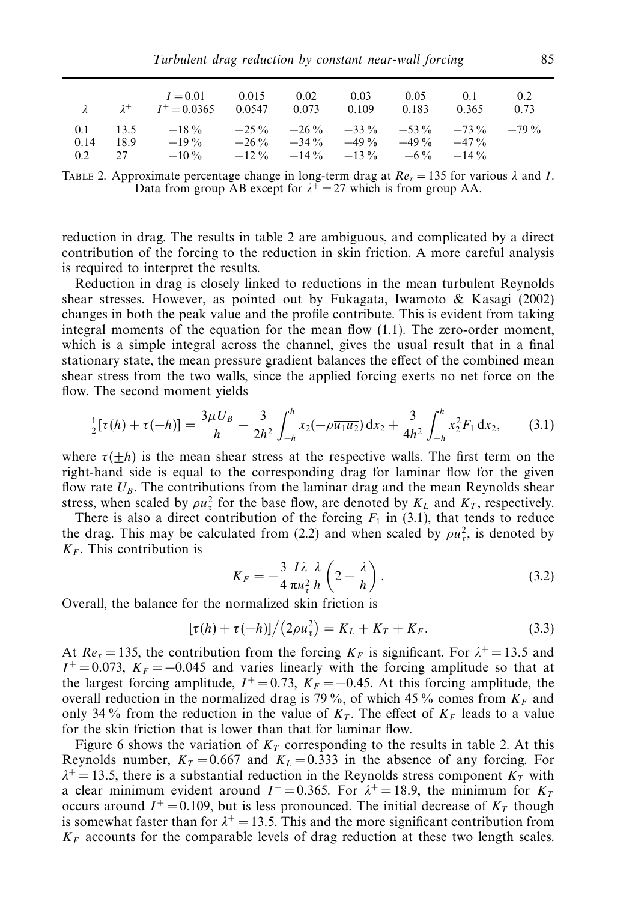|      |        | $I = 0.01$ 0.015<br>$\lambda$ $\lambda^{+}$ $I^{+} = 0.0365$ $0.0547$ $0.073$ $0.109$ $0.183$ $0.365$                                                                                |  | $0.02 \qquad 0.03$ | 0.05 | 0.1 | 0.2<br>0.73 |
|------|--------|--------------------------------------------------------------------------------------------------------------------------------------------------------------------------------------|--|--------------------|------|-----|-------------|
| 0.14 | - 18.9 | 0.1 13.5 $-18\%$ $-25\%$ $-26\%$ $-33\%$ $-53\%$ $-73\%$ $-79\%$<br>$-19\%$ $-26\%$ $-34\%$ $-49\%$ $-49\%$ $-49\%$ $-47\%$<br>0.2 27 $-10\%$ $-12\%$ $-14\%$ $-13\%$ $-6\%$ $-14\%$ |  |                    |      |     |             |

TABLE 2. Approximate percentage change in long-term drag at  $Re<sub>\tau</sub> = 135$  for various  $\lambda$  and *I*. Data from group AB except for  $\lambda^+ = 27$  which is from group AA.

reduction in drag. The results in table 2 are ambiguous, and complicated by a direct contribution of the forcing to the reduction in skin friction. A more careful analysis is required to interpret the results.

Reduction in drag is closely linked to reductions in the mean turbulent Reynolds shear stresses. However, as pointed out by Fukagata, Iwamoto & Kasagi (2002) changes in both the peak value and the profile contribute. This is evident from taking integral moments of the equation for the mean flow (1.1). The zero-order moment, which is a simple integral across the channel, gives the usual result that in a final stationary state, the mean pressure gradient balances the effect of the combined mean shear stress from the two walls, since the applied forcing exerts no net force on the flow. The second moment yields

$$
\frac{1}{2}[\tau(h) + \tau(-h)] = \frac{3\mu U_B}{h} - \frac{3}{2h^2} \int_{-h}^{h} x_2(-\rho \overline{u_1 u_2}) dx_2 + \frac{3}{4h^2} \int_{-h}^{h} x_2^2 F_1 dx_2, \quad (3.1)
$$

where  $\tau(\pm h)$  is the mean shear stress at the respective walls. The first term on the right-hand side is equal to the corresponding drag for laminar flow for the given flow rate  $U_B$ . The contributions from the laminar drag and the mean Reynolds shear stress, when scaled by  $\rho u_{\tau}^2$  for the base flow, are denoted by  $K_L$  and  $K_T$ , respectively.

There is also a direct contribution of the forcing  $F_1$  in (3.1), that tends to reduce the drag. This may be calculated from (2.2) and when scaled by  $\rho u_{\tau}^2$ , is denoted by  $K_F$ . This contribution is

$$
K_F = -\frac{3}{4} \frac{I \lambda}{\pi u_\tau^2} \frac{\lambda}{h} \left( 2 - \frac{\lambda}{h} \right). \tag{3.2}
$$

Overall, the balance for the normalized skin friction is

$$
[\tau(h) + \tau(-h)]/(2\rho u_{\tau}^2) = K_L + K_T + K_F.
$$
 (3.3)

At  $Re_\tau = 135$ , the contribution from the forcing  $K_F$  is significant. For  $\lambda^+ = 13.5$  and  $I^+$  = 0.073,  $K_F$  = −0.045 and varies linearly with the forcing amplitude so that at the largest forcing amplitude,  $I^+=0.73$ ,  $K_F=-0.45$ . At this forcing amplitude, the overall reduction in the normalized drag is 79 %, of which 45 % comes from  $K_F$  and only 34% from the reduction in the value of  $K_T$ . The effect of  $K_F$  leads to a value for the skin friction that is lower than that for laminar flow.

Figure 6 shows the variation of  $K_T$  corresponding to the results in table 2. At this Reynolds number,  $K_T = 0.667$  and  $K_L = 0.333$  in the absence of any forcing. For  $\lambda^+$  = 13.5, there is a substantial reduction in the Reynolds stress component  $K_T$  with a clear minimum evident around  $I^+ = 0.365$ . For  $\lambda^+ = 18.9$ , the minimum for  $K_T$ occurs around  $I^+ = 0.109$ , but is less pronounced. The initial decrease of  $K_T$  though is somewhat faster than for  $\lambda^+ = 13.5$ . This and the more significant contribution from  $K_F$  accounts for the comparable levels of drag reduction at these two length scales.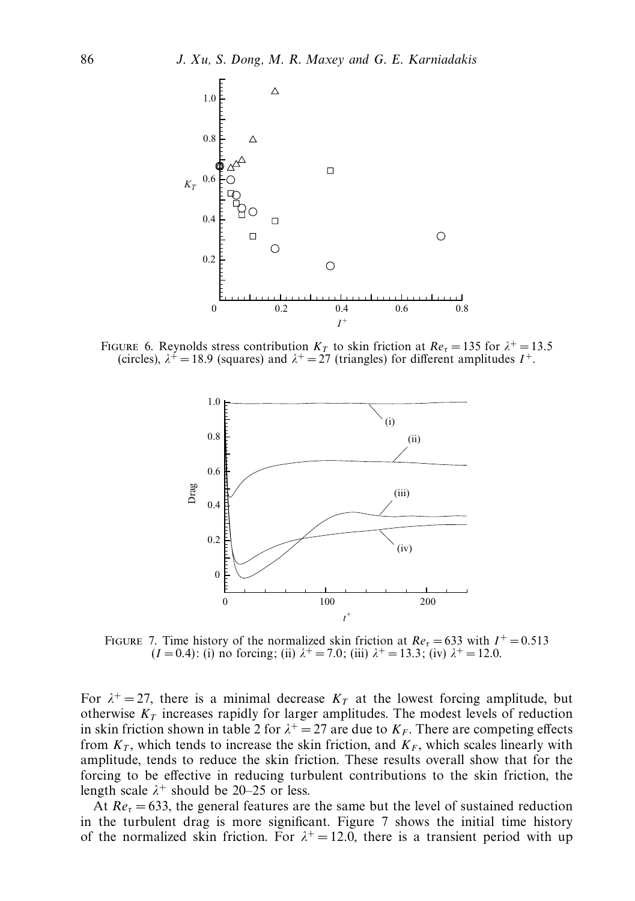

FIGURE 6. Reynolds stress contribution  $K_T$  to skin friction at  $Re_\tau = 135$  for  $\lambda^+ = 13.5$ (circles),  $\lambda^+$  = 18.9 (squares) and  $\lambda^+$  = 27 (triangles) for different amplitudes  $I^+$ .



FIGURE 7. Time history of the normalized skin friction at  $Re<sub>\tau</sub> = 633$  with  $I<sup>+</sup> = 0.513$  $(I = 0.4)$ : (i) no forcing; (ii)  $\lambda^+ = 7.0$ ; (iii)  $\lambda^+ = 13.3$ ; (iv)  $\lambda^+ = 12.0$ .

For  $\lambda^+ = 27$ , there is a minimal decrease  $K_T$  at the lowest forcing amplitude, but otherwise  $K_T$  increases rapidly for larger amplitudes. The modest levels of reduction in skin friction shown in table 2 for  $\lambda^+ = 27$  are due to  $K_F$ . There are competing effects from  $K_T$ , which tends to increase the skin friction, and  $K_F$ , which scales linearly with amplitude, tends to reduce the skin friction. These results overall show that for the forcing to be effective in reducing turbulent contributions to the skin friction, the length scale  $\lambda^+$  should be 20–25 or less.

At  $Re<sub>\tau</sub> = 633$ , the general features are the same but the level of sustained reduction in the turbulent drag is more significant. Figure 7 shows the initial time history of the normalized skin friction. For  $\lambda^+ = 12.0$ , there is a transient period with up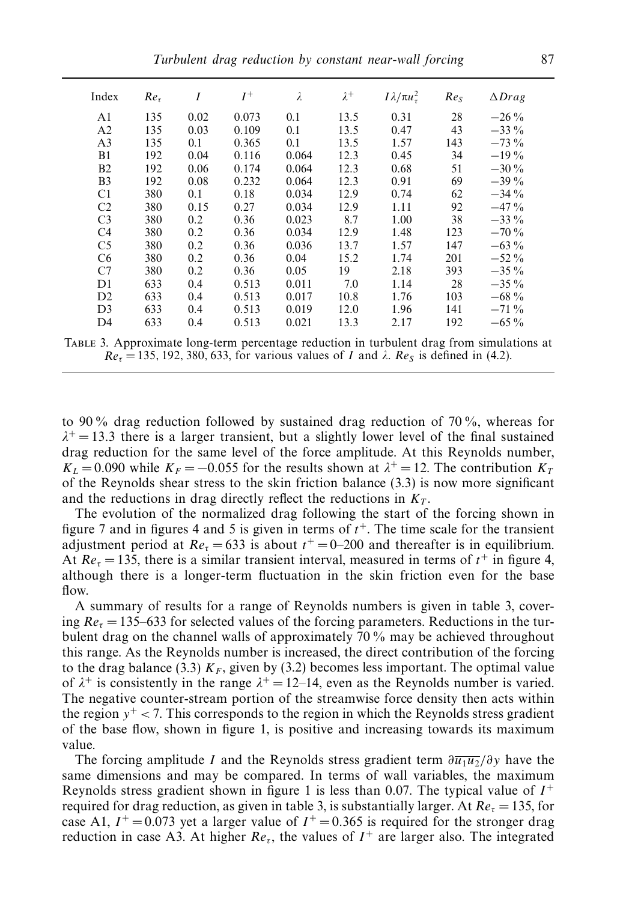| Index          | Re <sub>τ</sub> | I    | $I^+$ | $\lambda$ | $\lambda^+$ | $I\lambda/\pi u_\tau^2$ | Re <sub>S</sub> | $\Delta Drag$ |
|----------------|-----------------|------|-------|-----------|-------------|-------------------------|-----------------|---------------|
| A1             | 135             | 0.02 | 0.073 | 0.1       | 13.5        | 0.31                    | 28              | $-26\%$       |
| A <sub>2</sub> | 135             | 0.03 | 0.109 | 0.1       | 13.5        | 0.47                    | 43              | $-33\%$       |
| A <sub>3</sub> | 135             | 0.1  | 0.365 | 0.1       | 13.5        | 1.57                    | 143             | $-73\%$       |
| B1             | 192             | 0.04 | 0.116 | 0.064     | 12.3        | 0.45                    | 34              | $-19\%$       |
| B <sub>2</sub> | 192             | 0.06 | 0.174 | 0.064     | 12.3        | 0.68                    | 51              | $-30\%$       |
| B <sub>3</sub> | 192             | 0.08 | 0.232 | 0.064     | 12.3        | 0.91                    | 69              | $-39\%$       |
| C <sub>1</sub> | 380             | 0.1  | 0.18  | 0.034     | 12.9        | 0.74                    | 62              | $-34\%$       |
| C <sub>2</sub> | 380             | 0.15 | 0.27  | 0.034     | 12.9        | 1.11                    | 92              | $-47\%$       |
| C <sub>3</sub> | 380             | 0.2  | 0.36  | 0.023     | 8.7         | 1.00                    | 38              | $-33\%$       |
| C <sub>4</sub> | 380             | 0.2  | 0.36  | 0.034     | 12.9        | 1.48                    | 123             | $-70\%$       |
| C <sub>5</sub> | 380             | 0.2  | 0.36  | 0.036     | 13.7        | 1.57                    | 147             | $-63\%$       |
| C <sub>6</sub> | 380             | 0.2  | 0.36  | 0.04      | 15.2        | 1.74                    | 201             | $-52\%$       |
| C7             | 380             | 0.2  | 0.36  | 0.05      | 19          | 2.18                    | 393             | $-35\%$       |
| D1             | 633             | 0.4  | 0.513 | 0.011     | 7.0         | 1.14                    | 28              | $-35\%$       |
| D <sub>2</sub> | 633             | 0.4  | 0.513 | 0.017     | 10.8        | 1.76                    | 103             | $-68\%$       |
| D <sub>3</sub> | 633             | 0.4  | 0.513 | 0.019     | 12.0        | 1.96                    | 141             | $-71\%$       |
| D4             | 633             | 0.4  | 0.513 | 0.021     | 13.3        | 2.17                    | 192             | $-65\%$       |

Table 3. Approximate long-term percentage reduction in turbulent drag from simulations at  $Re_\tau = 135, 192, 380, 633,$  for various values of *I* and  $\lambda$ .  $Re_\delta$  is defined in (4.2).

to 90 % drag reduction followed by sustained drag reduction of 70 %, whereas for  $\lambda^+$  = 13.3 there is a larger transient, but a slightly lower level of the final sustained drag reduction for the same level of the force amplitude. At this Reynolds number,  $K_L$  = 0.090 while  $K_F$  = -0.055 for the results shown at  $\lambda^+$  = 12. The contribution  $K_T$ of the Reynolds shear stress to the skin friction balance (3.3) is now more significant and the reductions in drag directly reflect the reductions in  $K<sub>T</sub>$ .

The evolution of the normalized drag following the start of the forcing shown in figure 7 and in figures 4 and 5 is given in terms of  $t<sup>+</sup>$ . The time scale for the transient adjustment period at  $Re_\tau = 633$  is about  $t^+ = 0$ –200 and thereafter is in equilibrium. At  $Re_\tau = 135$ , there is a similar transient interval, measured in terms of  $t^+$  in figure 4, although there is a longer-term fluctuation in the skin friction even for the base flow.

A summary of results for a range of Reynolds numbers is given in table 3, covering  $Re<sub>\tau</sub> = 135-633$  for selected values of the forcing parameters. Reductions in the turbulent drag on the channel walls of approximately 70 % may be achieved throughout this range. As the Reynolds number is increased, the direct contribution of the forcing to the drag balance (3.3)  $K_F$ , given by (3.2) becomes less important. The optimal value of  $\lambda^+$  is consistently in the range  $\lambda^+ = 12-14$ , even as the Reynolds number is varied. The negative counter-stream portion of the streamwise force density then acts within the region  $y^+$  < 7. This corresponds to the region in which the Reynolds stress gradient of the base flow, shown in figure 1, is positive and increasing towards its maximum value.

The forcing amplitude *I* and the Reynolds stress gradient term  $\frac{\partial \overline{u_1 u_2}}{\partial y}$  have the same dimensions and may be compared. In terms of wall variables, the maximum Reynolds stress gradient shown in figure 1 is less than 0.07. The typical value of  $I^+$ required for drag reduction, as given in table 3, is substantially larger. At  $Re<sub>\tau</sub> = 135$ , for case A1,  $I^+ = 0.073$  yet a larger value of  $I^+ = 0.365$  is required for the stronger drag reduction in case A3. At higher  $Re_\tau$ , the values of  $I^+$  are larger also. The integrated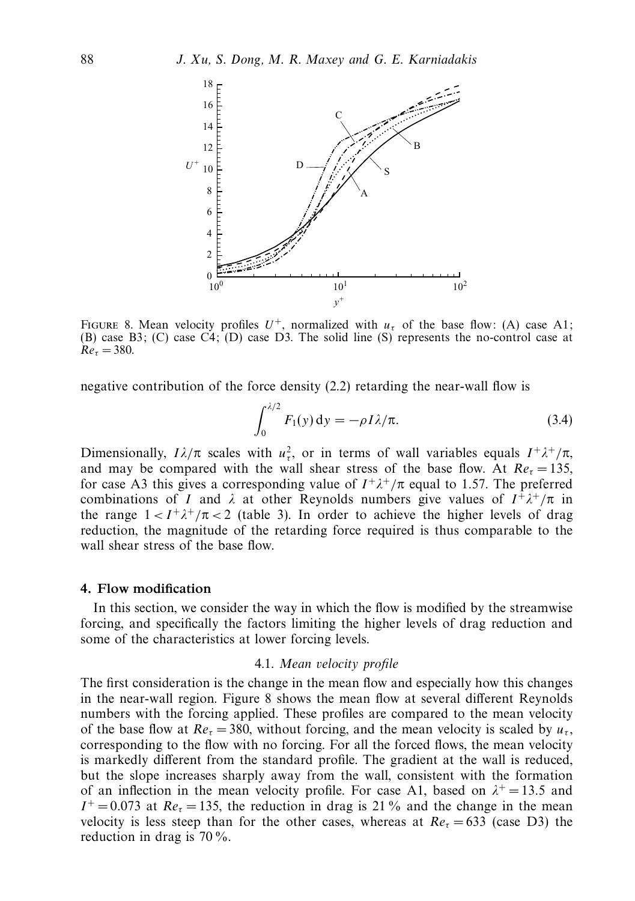

FIGURE 8. Mean velocity profiles  $U^+$ , normalized with  $u<sub>\tau</sub>$  of the base flow: (A) case A1; (B) case B3; (C) case  $\overrightarrow{C4}$ ; (D) case D3. The solid line (S) represents the no-control case at  $Re_\tau = 380$ .

negative contribution of the force density (2.2) retarding the near-wall flow is

$$
\int_0^{\lambda/2} F_1(y) \, \mathrm{d}y = -\rho I \lambda/\pi. \tag{3.4}
$$

Dimensionally,  $I\lambda/\pi$  scales with  $u^2_\tau$ , or in terms of wall variables equals  $I^+\lambda^+/\pi$ , and may be compared with the wall shear stress of the base flow. At  $Re<sub>\tau</sub> = 135$ , for case A3 this gives a corresponding value of *I* <sup>+</sup>*λ*<sup>+</sup>*/*π equal to 1*.*57. The preferred combinations of *I* and  $\lambda$  at other Reynolds numbers give values of  $I^+ \lambda^+ / \pi$  in the range  $1 < I^+ \lambda^+ / \pi < 2$  (table 3). In order to achieve the higher levels of drag reduction, the magnitude of the retarding force required is thus comparable to the wall shear stress of the base flow.

#### *4. Flow modification*

In this section, we consider the way in which the flow is modified by the streamwise forcing, and specifically the factors limiting the higher levels of drag reduction and some of the characteristics at lower forcing levels.

#### 4.1. Mean velocity profile

The first consideration is the change in the mean flow and especially how this changes in the near-wall region. Figure 8 shows the mean flow at several different Reynolds numbers with the forcing applied. These profiles are compared to the mean velocity of the base flow at  $Re_\tau = 380$ , without forcing, and the mean velocity is scaled by  $u_\tau$ , corresponding to the flow with no forcing. For all the forced flows, the mean velocity is markedly different from the standard profile. The gradient at the wall is reduced, but the slope increases sharply away from the wall, consistent with the formation of an inflection in the mean velocity profile. For case A1, based on  $\lambda^+ = 13.5$  and  $I^+=0.073$  at  $Re<sub>r</sub>=135$ , the reduction in drag is 21% and the change in the mean velocity is less steep than for the other cases, whereas at  $Re<sub>r</sub> = 633$  (case D3) the reduction in drag is 70 %.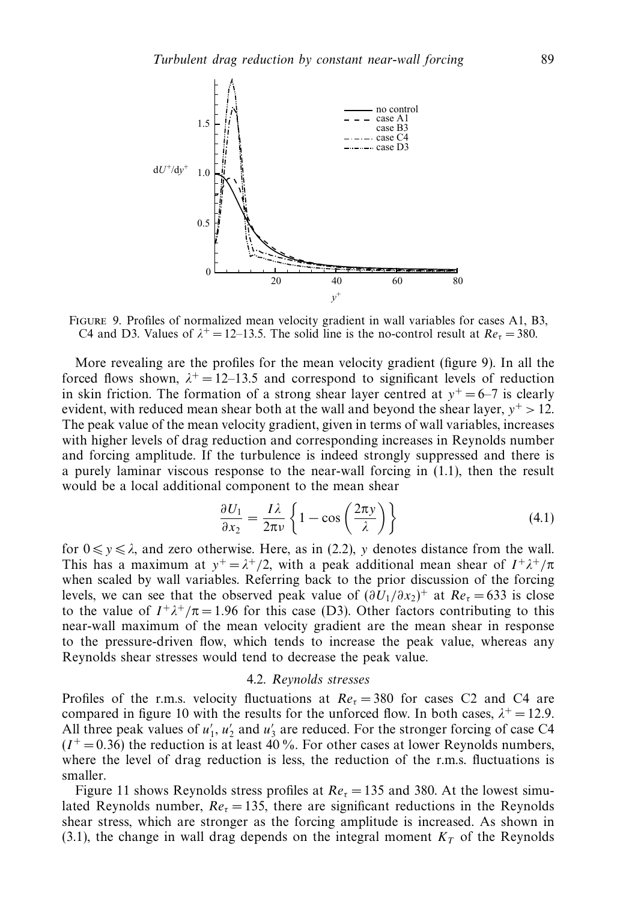

Figure 9. Profiles of normalized mean velocity gradient in wall variables for cases A1, B3, C4 and D3. Values of  $\lambda^+ = 12-13.5$ . The solid line is the no-control result at  $Re_\tau = 380$ .

More revealing are the profiles for the mean velocity gradient (figure 9). In all the forced flows shown,  $\lambda^+ = 12 - 13.5$  and correspond to significant levels of reduction in skin friction. The formation of a strong shear layer centred at  $y^+=6-7$  is clearly evident, with reduced mean shear both at the wall and beyond the shear layer,  $y^+ > 12$ . The peak value of the mean velocity gradient, given in terms of wall variables, increases with higher levels of drag reduction and corresponding increases in Reynolds number and forcing amplitude. If the turbulence is indeed strongly suppressed and there is a purely laminar viscous response to the near-wall forcing in (1.1), then the result would be a local additional component to the mean shear

$$
\frac{\partial U_1}{\partial x_2} = \frac{I\lambda}{2\pi\nu} \left\{ 1 - \cos\left(\frac{2\pi y}{\lambda}\right) \right\} \tag{4.1}
$$

for  $0 \le y \le \lambda$ , and zero otherwise. Here, as in (2.2), *y* denotes distance from the wall. This has a maximum at  $y^+ = \lambda^+/2$ , with a peak additional mean shear of  $I^+ \lambda^+ / \pi$ when scaled by wall variables. Referring back to the prior discussion of the forcing levels, we can see that the observed peak value of  $(\partial U_1/\partial x_2)^+$  at  $Re_\tau = 633$  is close to the value of  $I^+\lambda^+/\pi = 1.96$  for this case (D3). Other factors contributing to this near-wall maximum of the mean velocity gradient are the mean shear in response to the pressure-driven flow, which tends to increase the peak value, whereas any Reynolds shear stresses would tend to decrease the peak value.

#### 4.2. Reynolds stresses

Profiles of the r.m.s. velocity fluctuations at  $Re<sub>\tau</sub> = 380$  for cases C2 and C4 are compared in figure 10 with the results for the unforced flow. In both cases,  $\lambda^+ = 12.9$ . All three peak values of  $u'_1$ ,  $u'_2$  and  $u'_3$  are reduced. For the stronger forcing of case C4  $(I^+ = 0.36)$  the reduction is at least 40 %. For other cases at lower Reynolds numbers, where the level of drag reduction is less, the reduction of the r.m.s. fluctuations is smaller.

Figure 11 shows Reynolds stress profiles at  $Re<sub>\tau</sub> = 135$  and 380. At the lowest simulated Reynolds number,  $Re<sub>r</sub> = 135$ , there are significant reductions in the Reynolds shear stress, which are stronger as the forcing amplitude is increased. As shown in (3.1), the change in wall drag depends on the integral moment  $K<sub>T</sub>$  of the Reynolds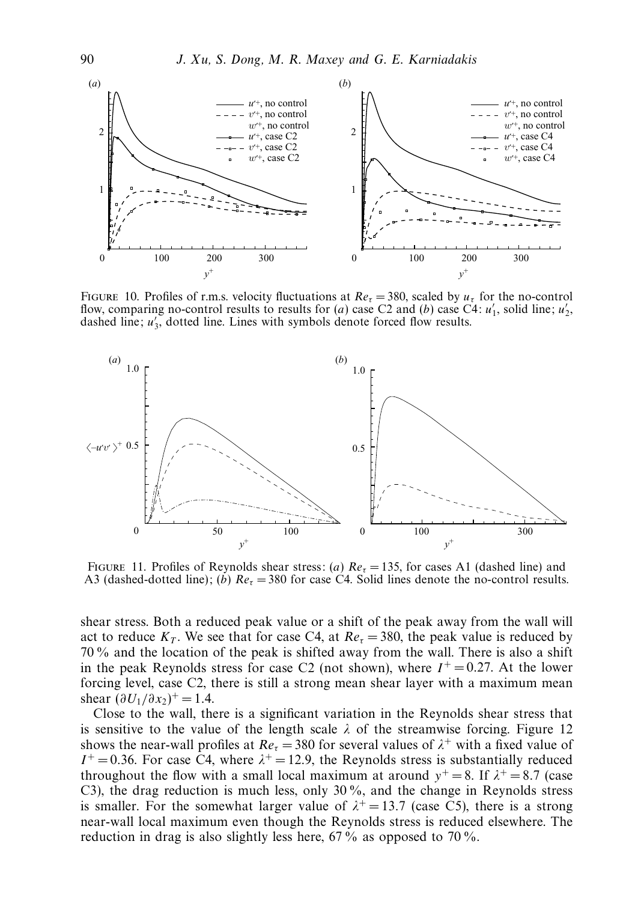

Figure 10. Profiles of r.m.s. velocity fluctuations at Re*<sup>τ</sup>* = 380, scaled by *uτ* for the no-control flow, comparing no-control results to results for (*a*) case C2 and (*b*) case C4:  $u'_1$ , solid line;  $u'_2$ , dashed line;  $u'_3$ , dotted line. Lines with symbols denote forced flow results.



FIGURE 11. Profiles of Reynolds shear stress: (*a*)  $Re_\tau = 135$ , for cases A1 (dashed line) and A3 (dashed-dotted line); (*b*)  $Re_\tau$  = 380 for case C4. Solid lines denote the no-control results.

shear stress. Both a reduced peak value or a shift of the peak away from the wall will act to reduce  $K_T$ . We see that for case C4, at  $Re_\tau = 380$ , the peak value is reduced by 70 % and the location of the peak is shifted away from the wall. There is also a shift in the peak Reynolds stress for case C2 (not shown), where  $I^+ = 0.27$ . At the lower forcing level, case C2, there is still a strong mean shear layer with a maximum mean shear  $(\partial U_1 / \partial x_2)^+ = 1.4$ .

Close to the wall, there is a significant variation in the Reynolds shear stress that is sensitive to the value of the length scale  $\lambda$  of the streamwise forcing. Figure 12 shows the near-wall profiles at  $Re_\tau = 380$  for several values of  $\lambda^+$  with a fixed value of  $I^+=0.36$ . For case C4, where  $\lambda^+=12.9$ , the Reynolds stress is substantially reduced throughout the flow with a small local maximum at around  $y^+=8$ . If  $\lambda^+=8.7$  (case C3), the drag reduction is much less, only 30 %, and the change in Reynolds stress is smaller. For the somewhat larger value of  $\lambda^+ = 13.7$  (case C5), there is a strong near-wall local maximum even though the Reynolds stress is reduced elsewhere. The reduction in drag is also slightly less here, 67% as opposed to 70%.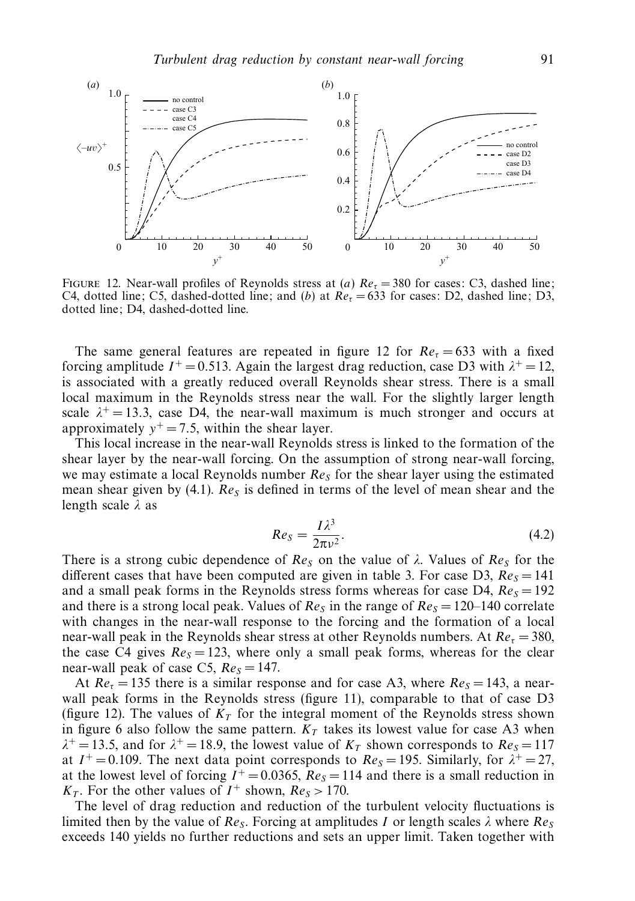

Figure 12. Near-wall profiles of Reynolds stress at (*a*) Re*<sup>τ</sup>* = 380 for cases: C3, dashed line; C4, dotted line; C5, dashed-dotted line; and (*b*) at Re*<sup>τ</sup>* = 633 for cases: D2, dashed line; D3, dotted line; D4, dashed-dotted line.

The same general features are repeated in figure 12 for  $Re<sub>\tau</sub> = 633$  with a fixed forcing amplitude  $I^+$  = 0.513. Again the largest drag reduction, case D3 with  $\lambda^+$  = 12, is associated with a greatly reduced overall Reynolds shear stress. There is a small local maximum in the Reynolds stress near the wall. For the slightly larger length scale  $\lambda^+$  = 13.3, case D4, the near-wall maximum is much stronger and occurs at approximately  $y^+=7.5$ , within the shear layer.

This local increase in the near-wall Reynolds stress is linked to the formation of the shear layer by the near-wall forcing. On the assumption of strong near-wall forcing, we may estimate a local Reynolds number Re*<sup>S</sup>* for the shear layer using the estimated mean shear given by (4.1).  $Re<sub>S</sub>$  is defined in terms of the level of mean shear and the length scale *λ* as

$$
Re_S = \frac{I\lambda^3}{2\pi\nu^2}.
$$
\n(4.2)

There is a strong cubic dependence of  $Re<sub>S</sub>$  on the value of  $\lambda$ . Values of  $Re<sub>S</sub>$  for the different cases that have been computed are given in table 3. For case D3,  $Re<sub>S</sub> = 141$ and a small peak forms in the Reynolds stress forms whereas for case D4,  $Re<sub>S</sub> = 192$ and there is a strong local peak. Values of  $Re<sub>S</sub>$  in the range of  $Re<sub>S</sub> = 120-140$  correlate with changes in the near-wall response to the forcing and the formation of a local near-wall peak in the Reynolds shear stress at other Reynolds numbers. At  $Re<sub>\tau</sub> = 380$ , the case C4 gives  $Re<sub>S</sub> = 123$ , where only a small peak forms, whereas for the clear near-wall peak of case C5,  $Re<sub>S</sub> = 147$ .

At  $Re<sub>\tau</sub> = 135$  there is a similar response and for case A3, where  $Re<sub>S</sub> = 143$ , a nearwall peak forms in the Reynolds stress (figure 11), comparable to that of case D3 (figure 12). The values of  $K<sub>T</sub>$  for the integral moment of the Reynolds stress shown in figure 6 also follow the same pattern.  $K_T$  takes its lowest value for case A3 when  $\lambda^+$  = 13.5, and for  $\lambda^+$  = 18.9, the lowest value of  $K_T$  shown corresponds to  $Re_S$  = 117 at  $I^+=0.109$ . The next data point corresponds to  $Re<sub>S</sub> = 195$ . Similarly, for  $\lambda^+=27$ , at the lowest level of forcing  $I^+ = 0.0365$ ,  $Re<sub>S</sub> = 114$  and there is a small reduction in  $K_T$ . For the other values of  $I^+$  shown,  $Re_S > 170$ .

The level of drag reduction and reduction of the turbulent velocity fluctuations is limited then by the value of  $Re_S$ . Forcing at amplitudes *I* or length scales  $\lambda$  where  $Re_S$ exceeds 140 yields no further reductions and sets an upper limit. Taken together with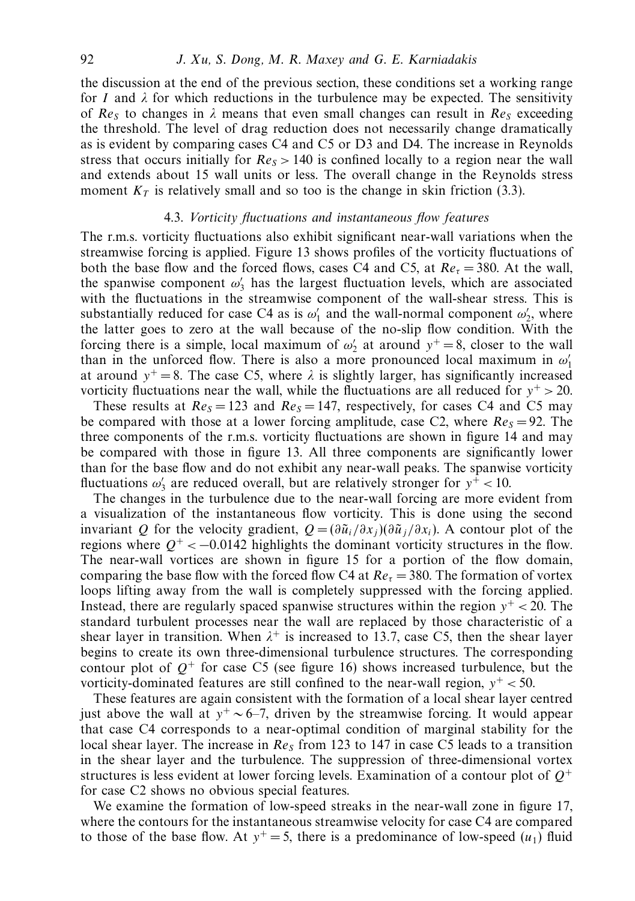the discussion at the end of the previous section, these conditions set a working range for *I* and  $\lambda$  for which reductions in the turbulence may be expected. The sensitivity of  $Re<sub>S</sub>$  to changes in  $\lambda$  means that even small changes can result in  $Re<sub>S</sub>$  exceeding the threshold. The level of drag reduction does not necessarily change dramatically as is evident by comparing cases C4 and C5 or D3 and D4. The increase in Reynolds stress that occurs initially for  $Re<sub>S</sub> > 140$  is confined locally to a region near the wall and extends about 15 wall units or less. The overall change in the Reynolds stress moment  $K_T$  is relatively small and so too is the change in skin friction (3.3).

#### 4.3. Vorticity fluctuations and instantaneous flow features

The r.m.s. vorticity fluctuations also exhibit significant near-wall variations when the streamwise forcing is applied. Figure 13 shows profiles of the vorticity fluctuations of both the base flow and the forced flows, cases C4 and C5, at  $Re<sub>\tau</sub> = 380$ . At the wall, the spanwise component  $\omega'_3$  has the largest fluctuation levels, which are associated with the fluctuations in the streamwise component of the wall-shear stress. This is substantially reduced for case C4 as is  $\omega'_1$  and the wall-normal component  $\omega'_2$ , where the latter goes to zero at the wall because of the no-slip flow condition. With the forcing there is a simple, local maximum of  $\omega'_2$  at around  $y^+ = 8$ , closer to the wall than in the unforced flow. There is also a more pronounced local maximum in  $\omega'_1$ at around  $y^+=8$ . The case C5, where  $\lambda$  is slightly larger, has significantly increased vorticity fluctuations near the wall, while the fluctuations are all reduced for  $y^+ > 20$ .

These results at  $Re<sub>S</sub> = 123$  and  $Re<sub>S</sub> = 147$ , respectively, for cases C4 and C5 may be compared with those at a lower forcing amplitude, case C2, where  $Re<sub>S</sub> = 92$ . The three components of the r.m.s. vorticity fluctuations are shown in figure 14 and may be compared with those in figure 13. All three components are significantly lower than for the base flow and do not exhibit any near-wall peaks. The spanwise vorticity fluctuations  $\omega'_3$  are reduced overall, but are relatively stronger for  $y^+ < 10$ .

The changes in the turbulence due to the near-wall forcing are more evident from a visualization of the instantaneous flow vorticity. This is done using the second invariant *Q* for the velocity gradient,  $Q = (\partial \tilde{u}_i/\partial x_i)(\partial \tilde{u}_i/\partial x_i)$ . A contour plot of the regions where  $Q^+ < -0.0142$  highlights the dominant vorticity structures in the flow. The near-wall vortices are shown in figure 15 for a portion of the flow domain, comparing the base flow with the forced flow C4 at  $Re<sub>\tau</sub> = 380$ . The formation of vortex loops lifting away from the wall is completely suppressed with the forcing applied. Instead, there are regularly spaced spanwise structures within the region *y*<sup>+</sup> *<* 20. The standard turbulent processes near the wall are replaced by those characteristic of a shear layer in transition. When  $\lambda^+$  is increased to 13.7, case C5, then the shear layer begins to create its own three-dimensional turbulence structures. The corresponding contour plot of  $O^+$  for case C5 (see figure 16) shows increased turbulence, but the vorticity-dominated features are still confined to the near-wall region,  $y^+ < 50$ .

These features are again consistent with the formation of a local shear layer centred just above the wall at *y*<sup>+</sup> ∼ 6–7, driven by the streamwise forcing. It would appear that case C4 corresponds to a near-optimal condition of marginal stability for the local shear layer. The increase in Re*<sup>S</sup>* from 123 to 147 in case C5 leads to a transition in the shear layer and the turbulence. The suppression of three-dimensional vortex structures is less evident at lower forcing levels. Examination of a contour plot of *Q*<sup>+</sup> for case C2 shows no obvious special features.

We examine the formation of low-speed streaks in the near-wall zone in figure 17, where the contours for the instantaneous streamwise velocity for case C4 are compared to those of the base flow. At  $y^+=5$ , there is a predominance of low-speed  $(u_1)$  fluid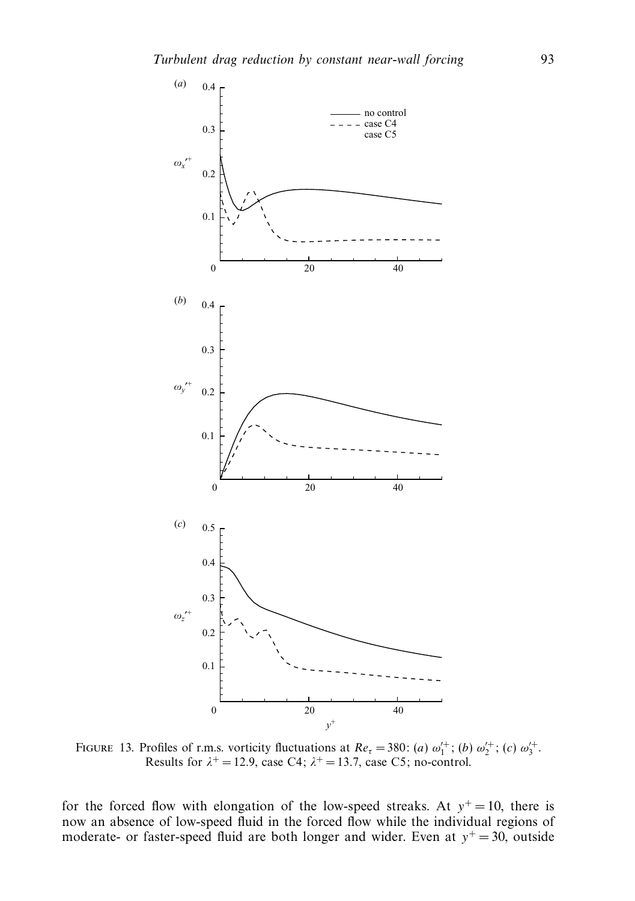

FIGURE 13. Profiles of r.m.s. vorticity fluctuations at  $Re_\tau = 380$ : (*a*)  $\omega_1^{1+}$ ; (*b*)  $\omega_2^{1+}$ ; (*c*)  $\omega_3^{1+}$ . Results for  $\lambda^+ = 12.9$ , case C4;  $\lambda^+ = 13.7$ , case C5; no-control.

for the forced flow with elongation of the low-speed streaks. At  $y^+=10$ , there is now an absence of low-speed fluid in the forced flow while the individual regions of moderate- or faster-speed fluid are both longer and wider. Even at  $y^+=30$ , outside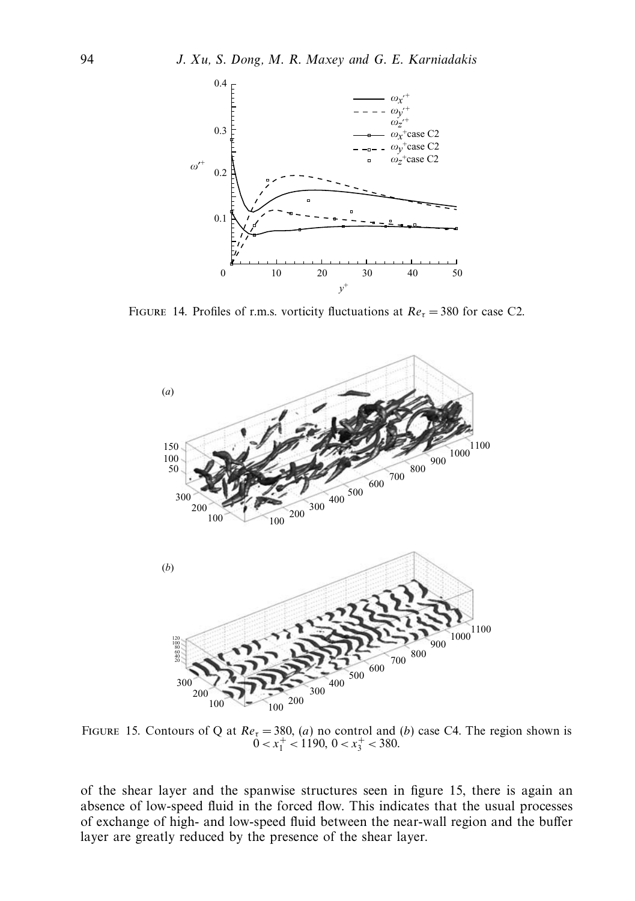

FIGURE 14. Profiles of r.m.s. vorticity fluctuations at  $Re<sub>\tau</sub> = 380$  for case C2.



FIGURE 15. Contours of Q at  $Re_\tau$  = 380, (*a*) no control and (*b*) case C4. The region shown is  $0 < x_1^+ < 1190, 0 < x_3^+ < 380.$ 

of the shear layer and the spanwise structures seen in figure 15, there is again an absence of low-speed fluid in the forced flow. This indicates that the usual processes of exchange of high- and low-speed fluid between the near-wall region and the buffer layer are greatly reduced by the presence of the shear layer.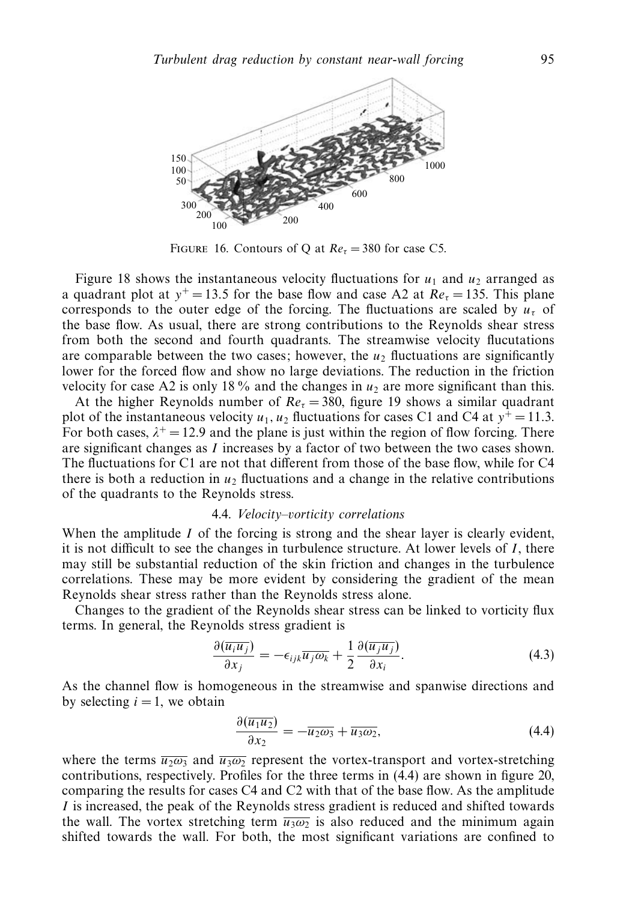

FIGURE 16. Contours of Q at  $Re_\tau = 380$  for case C5.

Figure 18 shows the instantaneous velocity fluctuations for  $u_1$  and  $u_2$  arranged as a quadrant plot at  $y^+=13.5$  for the base flow and case A2 at  $Re<sub>\tau</sub> = 135$ . This plane corresponds to the outer edge of the forcing. The fluctuations are scaled by  $u<sub>\tau</sub>$  of the base flow. As usual, there are strong contributions to the Reynolds shear stress from both the second and fourth quadrants. The streamwise velocity flucutations are comparable between the two cases; however, the  $u_2$  fluctuations are significantly lower for the forced flow and show no large deviations. The reduction in the friction velocity for case A2 is only 18 % and the changes in  $u_2$  are more significant than this.

At the higher Reynolds number of  $Re<sub>\tau</sub> = 380$ , figure 19 shows a similar quadrant plot of the instantaneous velocity  $u_1$ ,  $u_2$  fluctuations for cases C1 and C4 at  $y^+=11.3$ . For both cases,  $\lambda^+ = 12.9$  and the plane is just within the region of flow forcing. There are significant changes as *I* increases by a factor of two between the two cases shown. The fluctuations for C1 are not that different from those of the base flow, while for C4 there is both a reduction in  $u_2$  fluctuations and a change in the relative contributions of the quadrants to the Reynolds stress.

#### 4.4. Velocity–vorticity correlations

When the amplitude *I* of the forcing is strong and the shear layer is clearly evident, it is not difficult to see the changes in turbulence structure. At lower levels of *I* , there may still be substantial reduction of the skin friction and changes in the turbulence correlations. These may be more evident by considering the gradient of the mean Reynolds shear stress rather than the Reynolds stress alone.

Changes to the gradient of the Reynolds shear stress can be linked to vorticity flux terms. In general, the Reynolds stress gradient is

$$
\frac{\partial(\overline{u_i u_j})}{\partial x_j} = -\epsilon_{ijk}\overline{u_j \omega_k} + \frac{1}{2} \frac{\partial(\overline{u_j u_j})}{\partial x_i}.
$$
\n(4.3)

As the channel flow is homogeneous in the streamwise and spanwise directions and by selecting  $i = 1$ , we obtain

$$
\frac{\partial(\overline{u_1 u_2})}{\partial x_2} = -\overline{u_2 \omega_3} + \overline{u_3 \omega_2},\tag{4.4}
$$

where the terms  $\overline{u_2\omega_3}$  and  $\overline{u_3\omega_2}$  represent the vortex-transport and vortex-stretching contributions, respectively. Profiles for the three terms in (4.4) are shown in figure 20, comparing the results for cases C4 and C2 with that of the base flow. As the amplitude *I* is increased, the peak of the Reynolds stress gradient is reduced and shifted towards the wall. The vortex stretching term  $\overline{u_3\omega_2}$  is also reduced and the minimum again shifted towards the wall. For both, the most significant variations are confined to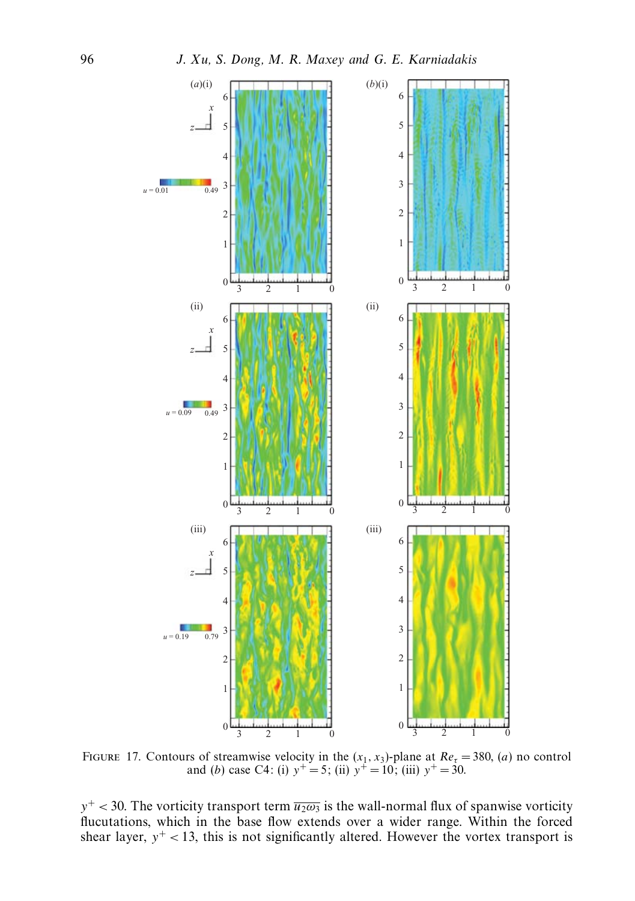

FIGURE 17. Contours of streamwise velocity in the  $(x_1, x_3)$ -plane at  $Re_\tau = 380$ , (*a*) no control and (*b*) case C4: (i)  $y^+=5$ ; (ii)  $y^+=10$ ; (iii)  $y^+=30$ .

 $y^+$  < 30. The vorticity transport term  $\overline{u_2\omega_3}$  is the wall-normal flux of spanwise vorticity flucutations, which in the base flow extends over a wider range. Within the forced shear layer,  $y^+$  < 13, this is not significantly altered. However the vortex transport is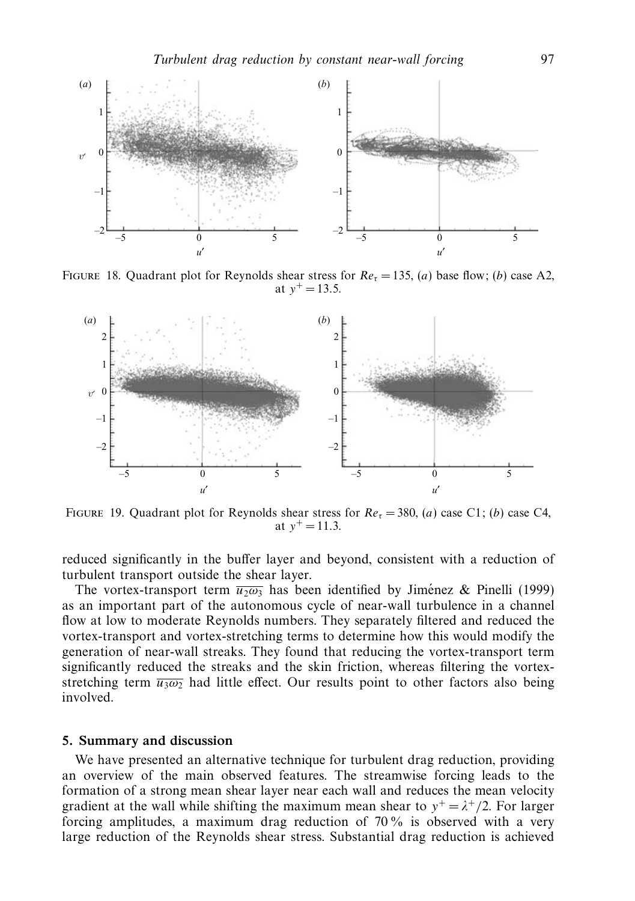

FIGURE 18. Quadrant plot for Reynolds shear stress for  $Re<sub>r</sub> = 135$ , (*a*) base flow; (*b*) case A2, at  $v^+ = 13.5$ .



FIGURE 19. Quadrant plot for Reynolds shear stress for  $Re_\tau = 380$ , (*a*) case C1; (*b*) case C4, at  $v^+ = 11.3$ .

reduced significantly in the buffer layer and beyond, consistent with a reduction of turbulent transport outside the shear layer.

The vortex-transport term  $\overline{u_2\omega_3}$  has been identified by Jimenez & Pinelli (1999) as an important part of the autonomous cycle of near-wall turbulence in a channel flow at low to moderate Reynolds numbers. They separately filtered and reduced the vortex-transport and vortex-stretching terms to determine how this would modify the generation of near-wall streaks. They found that reducing the vortex-transport term significantly reduced the streaks and the skin friction, whereas filtering the vortexstretching term  $\overline{u_3\omega_2}$  had little effect. Our results point to other factors also being involved.

### *5. Summary and discussion*

We have presented an alternative technique for turbulent drag reduction, providing an overview of the main observed features. The streamwise forcing leads to the formation of a strong mean shear layer near each wall and reduces the mean velocity gradient at the wall while shifting the maximum mean shear to  $y^+ = \lambda^+/2$ . For larger forcing amplitudes, a maximum drag reduction of 70 % is observed with a very large reduction of the Reynolds shear stress. Substantial drag reduction is achieved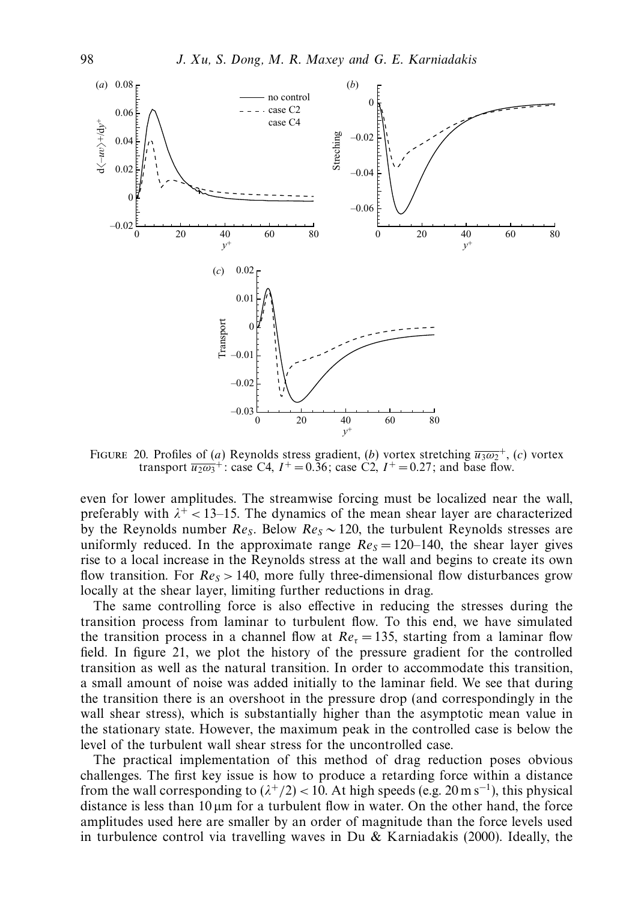

FIGURE 20. Profiles of (*a*) Reynolds stress gradient, (*b*) vortex stretching  $\overline{u_3\omega_2}^+$ , (*c*) vortex transport  $\overline{u_2\omega_3}^+$ : case C4,  $I^+ = 0.36$ ; case C2,  $I^+ = 0.27$ ; and base flow.

even for lower amplitudes. The streamwise forcing must be localized near the wall, preferably with  $\lambda^+$  < 13–15. The dynamics of the mean shear layer are characterized by the Reynolds number  $Re_S$ . Below  $Re_S \sim 120$ , the turbulent Reynolds stresses are uniformly reduced. In the approximate range  $Re<sub>S</sub> = 120-140$ , the shear layer gives rise to a local increase in the Reynolds stress at the wall and begins to create its own flow transition. For  $Re<sub>S</sub> > 140$ , more fully three-dimensional flow disturbances grow locally at the shear layer, limiting further reductions in drag.

The same controlling force is also effective in reducing the stresses during the transition process from laminar to turbulent flow. To this end, we have simulated the transition process in a channel flow at  $Re<sub>\tau</sub> = 135$ , starting from a laminar flow field. In figure 21, we plot the history of the pressure gradient for the controlled transition as well as the natural transition. In order to accommodate this transition, a small amount of noise was added initially to the laminar field. We see that during the transition there is an overshoot in the pressure drop (and correspondingly in the wall shear stress), which is substantially higher than the asymptotic mean value in the stationary state. However, the maximum peak in the controlled case is below the level of the turbulent wall shear stress for the uncontrolled case.

The practical implementation of this method of drag reduction poses obvious challenges. The first key issue is how to produce a retarding force within a distance from the wall corresponding to  $(\lambda^+/2)$  < 10. At high speeds (e.g. 20 m s<sup>-1</sup>), this physical distance is less than  $10 \mu m$  for a turbulent flow in water. On the other hand, the force amplitudes used here are smaller by an order of magnitude than the force levels used in turbulence control via travelling waves in Du  $&$  Karniadakis (2000). Ideally, the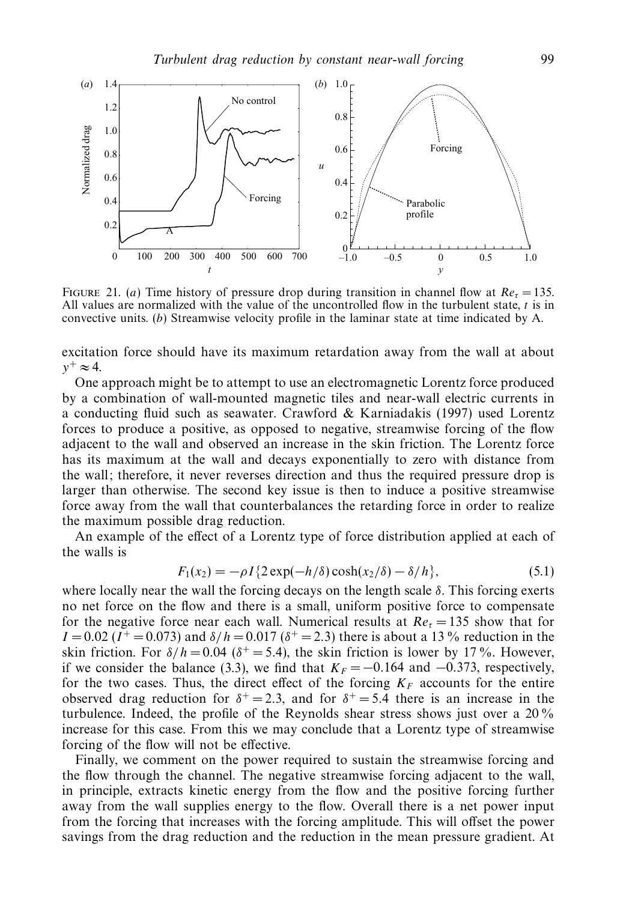

FIGURE 21. (*a*) Time history of pressure drop during transition in channel flow at  $Re<sub>\tau</sub> = 135$ . All values are normalized with the value of the uncontrolled flow in the turbulent state, *t* is in convective units. (*b*) Streamwise velocity profile in the laminar state at time indicated by A.

excitation force should have its maximum retardation away from the wall at about  $y^+ \approx 4$ .

One approach might be to attempt to use an electromagnetic Lorentz force produced by a combination of wall-mounted magnetic tiles and near-wall electric currents in a conducting fluid such as seawater. Crawford & Karniadakis (1997) used Lorentz forces to produce a positive, as opposed to negative, streamwise forcing of the flow adjacent to the wall and observed an increase in the skin friction. The Lorentz force has its maximum at the wall and decays exponentially to zero with distance from the wall; therefore, it never reverses direction and thus the required pressure drop is larger than otherwise. The second key issue is then to induce a positive streamwise force away from the wall that counterbalances the retarding force in order to realize the maximum possible drag reduction.

An example of the effect of a Lorentz type of force distribution applied at each of the walls is

$$
F_1(x_2) = -\rho I \{ 2 \exp(-h/\delta) \cosh(x_2/\delta) - \delta/h \},\tag{5.1}
$$

where locally near the wall the forcing decays on the length scale  $\delta$ . This forcing exerts no net force on the flow and there is a small, uniform positive force to compensate for the negative force near each wall. Numerical results at  $Re<sub>\tau</sub> = 135$  show that for *I* = 0.02 (*I*<sup>+</sup> = 0.073) and  $\delta/h = 0.017$  ( $\delta^+ = 2.3$ ) there is about a 13% reduction in the skin friction. For  $\delta/h = 0.04$  ( $\delta^+ = 5.4$ ), the skin friction is lower by 17%. However, if we consider the balance (3.3), we find that  $K_F = -0.164$  and  $-0.373$ , respectively, for the two cases. Thus, the direct effect of the forcing  $K_F$  accounts for the entire observed drag reduction for  $\delta^+ = 2.3$ , and for  $\delta^+ = 5.4$  there is an increase in the turbulence. Indeed, the profile of the Reynolds shear stress shows just over a 20% increase for this case. From this we may conclude that a Lorentz type of streamwise forcing of the flow will not be effective.

Finally, we comment on the power required to sustain the streamwise forcing and the flow through the channel. The negative streamwise forcing adjacent to the wall, in principle, extracts kinetic energy from the flow and the positive forcing further away from the wall supplies energy to the flow. Overall there is a net power input from the forcing that increases with the forcing amplitude. This will offset the power savings from the drag reduction and the reduction in the mean pressure gradient. At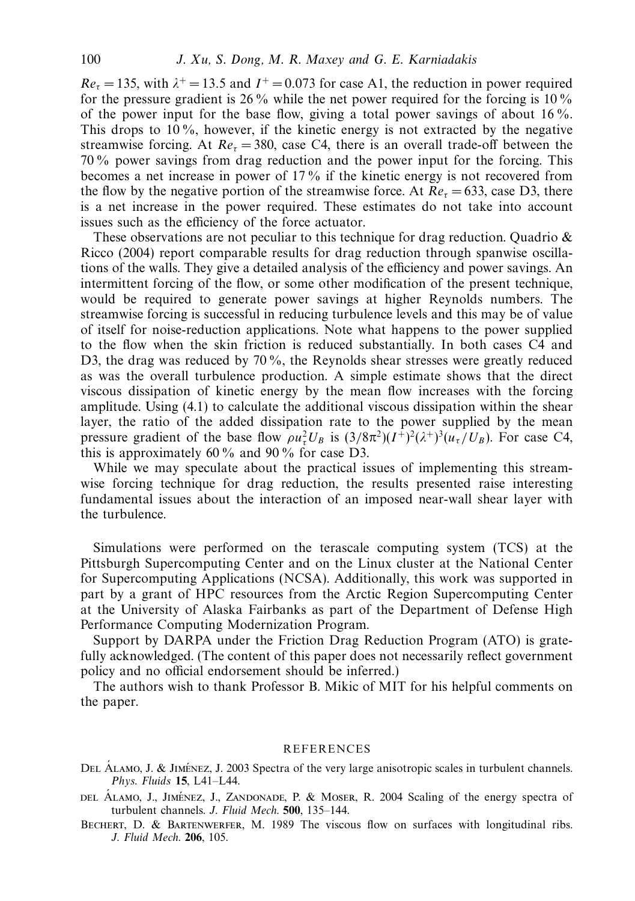$Re<sub>r</sub> = 135$ , with  $\lambda^{+} = 13.5$  and  $I^{+} = 0.073$  for case A1, the reduction in power required for the pressure gradient is 26  $\%$  while the net power required for the forcing is 10  $\%$ of the power input for the base flow, giving a total power savings of about 16 %. This drops to  $10\%$ , however, if the kinetic energy is not extracted by the negative streamwise forcing. At  $Re<sub>r</sub> = 380$ , case C4, there is an overall trade-off between the 70 % power savings from drag reduction and the power input for the forcing. This becomes a net increase in power of 17 % if the kinetic energy is not recovered from the flow by the negative portion of the streamwise force. At  $Re<sub>r</sub> = 633$ , case D3, there is a net increase in the power required. These estimates do not take into account issues such as the efficiency of the force actuator.

These observations are not peculiar to this technique for drag reduction. Quadrio  $\&$ Ricco (2004) report comparable results for drag reduction through spanwise oscillations of the walls. They give a detailed analysis of the efficiency and power savings. An intermittent forcing of the flow, or some other modification of the present technique, would be required to generate power savings at higher Reynolds numbers. The streamwise forcing is successful in reducing turbulence levels and this may be of value of itself for noise-reduction applications. Note what happens to the power supplied to the flow when the skin friction is reduced substantially. In both cases C4 and D3, the drag was reduced by 70%, the Reynolds shear stresses were greatly reduced as was the overall turbulence production. A simple estimate shows that the direct viscous dissipation of kinetic energy by the mean flow increases with the forcing amplitude. Using (4.1) to calculate the additional viscous dissipation within the shear layer, the ratio of the added dissipation rate to the power supplied by the mean pressure gradient of the base flow  $\rho u_\tau^2 U_B$  is  $(3/8\pi^2)(I^+)^2(\lambda^+)^3(u_\tau/U_B)$ . For case C4, this is approximately 60  $\%$  and 90  $\%$  for case D3.

While we may speculate about the practical issues of implementing this streamwise forcing technique for drag reduction, the results presented raise interesting fundamental issues about the interaction of an imposed near-wall shear layer with the turbulence.

Simulations were performed on the terascale computing system (TCS) at the Pittsburgh Supercomputing Center and on the Linux cluster at the National Center for Supercomputing Applications (NCSA). Additionally, this work was supported in part by a grant of HPC resources from the Arctic Region Supercomputing Center at the University of Alaska Fairbanks as part of the Department of Defense High Performance Computing Modernization Program.

Support by DARPA under the Friction Drag Reduction Program (ATO) is gratefully acknowledged. (The content of this paper does not necessarily reflect government policy and no official endorsement should be inferred.)

The authors wish to thank Professor B. Mikic of MIT for his helpful comments on the paper.

#### **REFERENCES**

- DEL ÁLAMO, J. & JIMÉNEZ, J. 2003 Spectra of the very large anisotropic scales in turbulent channels. Phys. Fluids **15**, L41–L44.
- DEL ALAMO, J., JIMÉNEZ, J., ZANDONADE, P. & MOSER, R. 2004 Scaling of the energy spectra of turbulent channels. J. Fluid Mech. **500**, 135–144.
- Bechert, D. & Bartenwerfer, M. 1989 The viscous flow on surfaces with longitudinal ribs. J. Fluid Mech. **206**, 105.